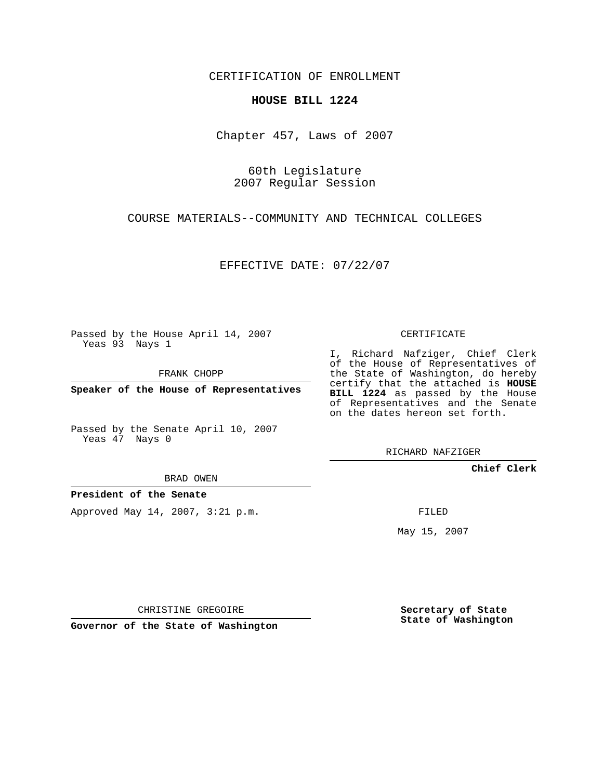CERTIFICATION OF ENROLLMENT

## **HOUSE BILL 1224**

Chapter 457, Laws of 2007

60th Legislature 2007 Regular Session

COURSE MATERIALS--COMMUNITY AND TECHNICAL COLLEGES

EFFECTIVE DATE: 07/22/07

Passed by the House April 14, 2007 Yeas 93 Nays 1

FRANK CHOPP

**Speaker of the House of Representatives**

Passed by the Senate April 10, 2007 Yeas 47 Nays 0

CERTIFICATE

I, Richard Nafziger, Chief Clerk of the House of Representatives of the State of Washington, do hereby certify that the attached is **HOUSE BILL 1224** as passed by the House of Representatives and the Senate on the dates hereon set forth.

RICHARD NAFZIGER

**Chief Clerk**

BRAD OWEN

**President of the Senate**

Approved May 14, 2007, 3:21 p.m.

FILED

May 15, 2007

CHRISTINE GREGOIRE

**Governor of the State of Washington**

**Secretary of State State of Washington**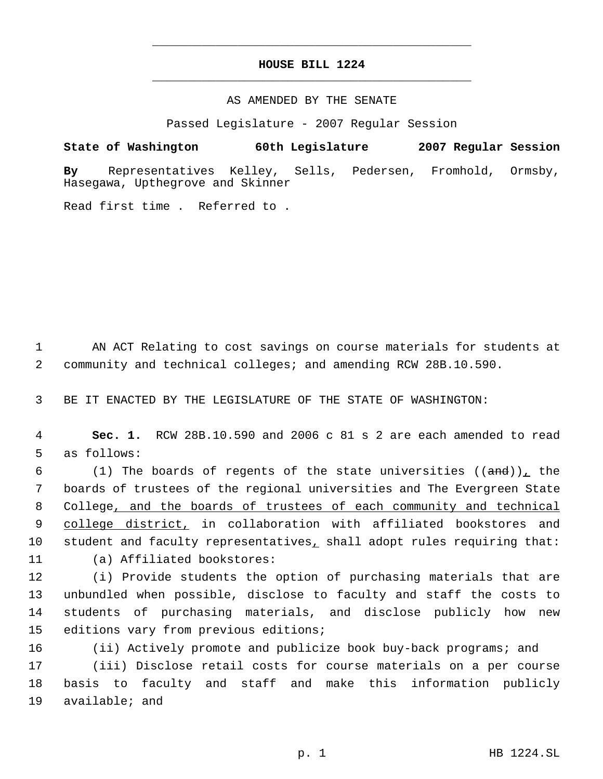## **HOUSE BILL 1224** \_\_\_\_\_\_\_\_\_\_\_\_\_\_\_\_\_\_\_\_\_\_\_\_\_\_\_\_\_\_\_\_\_\_\_\_\_\_\_\_\_\_\_\_\_

\_\_\_\_\_\_\_\_\_\_\_\_\_\_\_\_\_\_\_\_\_\_\_\_\_\_\_\_\_\_\_\_\_\_\_\_\_\_\_\_\_\_\_\_\_

## AS AMENDED BY THE SENATE

Passed Legislature - 2007 Regular Session

**State of Washington 60th Legislature 2007 Regular Session**

**By** Representatives Kelley, Sells, Pedersen, Fromhold, Ormsby, Hasegawa, Upthegrove and Skinner

Read first time . Referred to .

 1 AN ACT Relating to cost savings on course materials for students at 2 community and technical colleges; and amending RCW 28B.10.590.

3 BE IT ENACTED BY THE LEGISLATURE OF THE STATE OF WASHINGTON:

 4 **Sec. 1.** RCW 28B.10.590 and 2006 c 81 s 2 are each amended to read 5 as follows:

 $(1)$  The boards of regents of the state universities  $((and))$ , the boards of trustees of the regional universities and The Evergreen State College, and the boards of trustees of each community and technical 9 college district, in collaboration with affiliated bookstores and 10 student and faculty representatives, shall adopt rules requiring that: (a) Affiliated bookstores:

 (i) Provide students the option of purchasing materials that are unbundled when possible, disclose to faculty and staff the costs to students of purchasing materials, and disclose publicly how new editions vary from previous editions;

16 (ii) Actively promote and publicize book buy-back programs; and

17 (iii) Disclose retail costs for course materials on a per course 18 basis to faculty and staff and make this information publicly 19 available; and